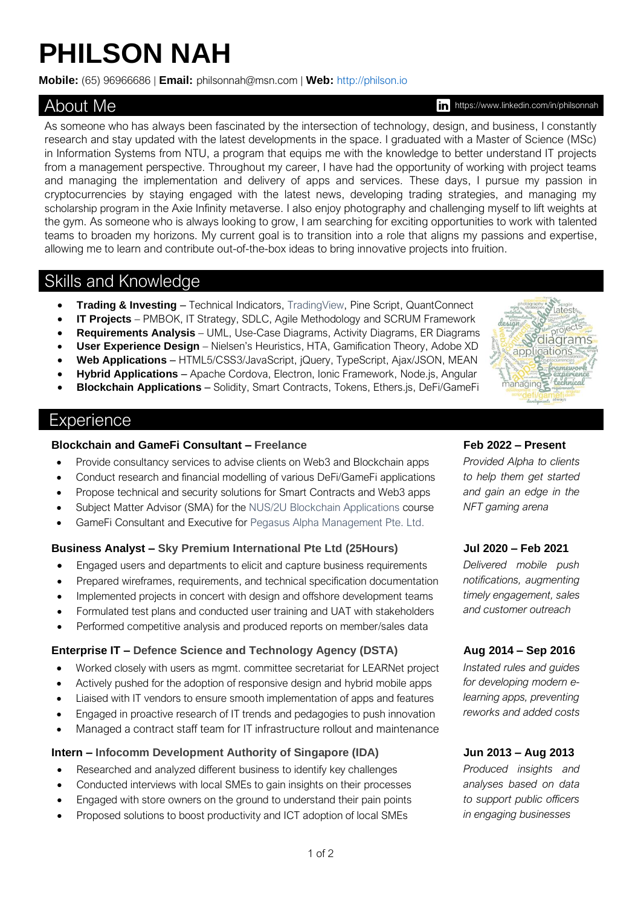# **PHILSON NAH**

**Mobile:** (65) [96966686](tel:+6596966686) | **Email:** [philsonnah@msn.com](mailto:philsonnah@msn.com) | **Web:** [http://philson.io](http://philson.io/)

# About Me

https://www.linkedin.com/in/philsonnah

As someone who has always been fascinated by the intersection of technology, design, and business, I constantly research and stay updated with the latest developments in the space. I graduated with a Master of Science (MSc) in Information Systems from NTU, a program that equips me with the knowledge to better understand IT projects from a management perspective. Throughout my career, I have had the opportunity of working with project teams and managing the implementation and delivery of apps and services. These days, I pursue my passion in cryptocurrencies by staying engaged with the latest news, developing trading strategies, and managing my [scholarship program](http://scholarships.philson.io/) in the Axie Infinity metaverse. I also enjoy photography and challenging myself to lift weights at the gym. As someone who is always looking to grow, I am searching for exciting opportunities to work with talented teams to broaden my horizons. My current goal is to transition into a role that aligns my passions and expertise, allowing me to learn and contribute out-of-the-box ideas to bring innovative projects into fruition.

# Skills and Knowledge

- **Trading & Investing** Technical Indicators[, TradingView,](https://www.tradingview.com/u/AzureKn1ght/#published-scripts) Pine Script, QuantConnect
- **IT Projects** PMBOK, IT Strategy, SDLC, Agile Methodology and SCRUM Framework
- **Requirements Analysis** UML, Use-Case Diagrams, Activity Diagrams, ER Diagrams
- **User Experience Design** Nielsen's Heuristics[, HTA,](https://web.archive.org/web/20210225044445/https:/www.uxmatters.com/mt/archives/2010/02/hierarchical-task-analysis.php) Gamification Theory, Adobe XD
- **Web Applications** HTML5/CSS3/JavaScript, jQuery, TypeScript, Ajax/JSON, MEAN
- **Hybrid Applications** Apache Cordova, Electron, Ionic Framework, Node.js, Angular
- **Blockchain Applications** Solidity, Smart Contracts, Tokens, Ethers.js, DeFi/GameFi

# **Experience**

### **Blockchain and GameFi Consultant – Freelance Feb 2022 – Present**

- Provide consultancy services to advise clients on Web3 and Blockchain apps
- Conduct research and financial modelling of various DeFi/GameFi applications
- Propose technical and security solutions for Smart Contracts and Web3 apps
- Subject Matter Advisor (SMA) for the NUS/2U Blockchain [Applications](http://web.archive.org/web/20220422094810/https:/www.comp.nus.edu.sg/news/news-media/2021-2u-nus/) course
- GameFi Consultant and Executive for [Pegasus Alpha Management Pte. Ltd.](https://opengovsg.com/corporate/202142467H)

### **Business Analyst – [Sky Premium International Pte](https://www.25hrs.com/) Ltd (25Hours) Jul 2020 – Feb 2021**

- Engaged users and departments to elicit and capture business requirements
- Prepared wireframes, requirements, and technical specification documentation
- Implemented projects in concert with design and offshore development teams
- Formulated test plans and conducted user training and UAT with stakeholders
- Performed competitive analysis and produced reports on member/sales data

### **Enterprise IT – [Defence Science and Technology Agency \(DSTA\)](https://www.dsta.gov.sg/) Aug 2014 – Sep 2016**

- Worked closely with users as mgmt. committee secretariat for LEARNet project
- Actively pushed for the adoption of responsive design and hybrid mobile apps
- Liaised with IT vendors to ensure smooth implementation of apps and features
- Engaged in proactive research of IT trends and pedagogies to push innovation
- Managed a contract staff team for IT infrastructure rollout and maintenance

### **Intern – [Infocomm Development Authority of Singapore \(IDA\)](https://www.imda.gov.sg/) Jun 2013 – Aug 2013**

- Researched and analyzed different business to identify key challenges
- Conducted interviews with local SMEs to gain insights on their processes
- Engaged with store owners on the ground to understand their pain points
- Proposed solutions to boost productivity and ICT adoption of local SMEs

*Provided Alpha to clients to help them get started and gain an edge in the NFT gaming arena* 

*Delivered mobile push notifications, augmenting timely engagement, sales and customer outreach* 

*Instated rules and guides for developing modern elearning apps, preventing reworks and added costs*

*Produced insights and analyses based on data to support public officers in engaging businesses*